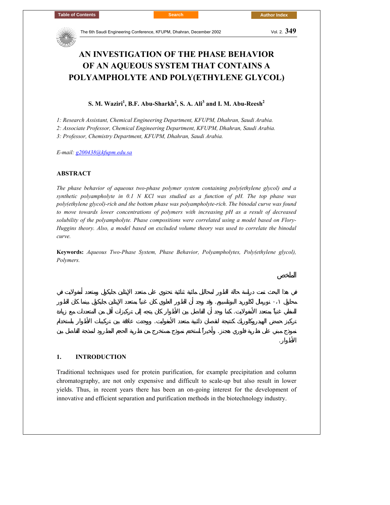

# **AN INVESTIGATION OF THE PHASE BEHAVIOR OF AN AQUEOUS SYSTEM THAT CONTAINS A POLYAMPHOLYTE AND POLY(ETHYLENE GLYCOL)**

 $\mathbf{S}.$  M. Waziri<sup>1</sup>, B.F. Abu-Sharkh $^2$ , S. A. Ali $^3$  and I. M. Abu-Reesh $^2$ 

*1: Research Assistant, Chemical Engineering Department, KFUPM, Dhahran, Saudi Arabia.* 

*2: Associate Professor, Chemical Engineering Department, KFUPM, Dhahran, Saudi Arabia.* 

*3: Professor, Chemistry Department, KFUPM, Dhahran, Saudi Arabia.* 

*E-mail: g200438@kfupm.edu.sa*

## **ABSTRACT**

*The phase behavior of aqueous two-phase polymer system containing poly(ethylene glycol) and a synthetic polyampholyte in 0.1 N KCl was studied as a function of pH. The top phase was poly(ethylene glycol)-rich and the bottom phase was polyampholyte-rich. The binodal curve was found to move towards lower concentrations of polymers with increasing pH as a result of decreased solubility of the polyampholyte. Phase compositions were correlated using a model based on Flory-Huggins theory. Also, a model based on excluded volume theory was used to correlate the binodal curve.* 

**Keywords:** *Aqueous Two-Phase System, Phase Behavior, Polyampholytes, Poly(ethylene glycol), Polymers.*

محلول ٠،١ نورمال لكلوريد البوتاسيوم. وقد وجد أن الطور العلوي كان غنياً بمتعدد الإيثلين جليكول بينما كان الطور السفلي غنياً بمتعدد الأمفولايت. كما وجد أن الفاصل بين الأطوار كان يتجه إلى تركيزات أقل من المتعددات مع زيادة تركي حمض الهيدروكلوريك كنتيجة لنقصان ذائبية متعدد الأمفوليت. ووجدت علاقة بين تركيبات الأطوار باستخدام نموذج مبني على نظرية فلوري هجنز. وأخيراً استخدم نموذج مستخرج من نظرية الحجم المطرود لنمذجة الفاصل بين

الأطوار. والأطوار. والأطوار. والأطوار. والأطوار. والأطوار. والأطوار. والأطوار. والأطوار. وال

## **1. INTRODUCTION**

Traditional techniques used for protein purification, for example precipitation and column chromatography, are not only expensive and difficult to scale-up but also result in lower yields. Thus, in recent years there has been an on-going interest for the development of innovative and efficient separation and purification methods in the biotechnology industry.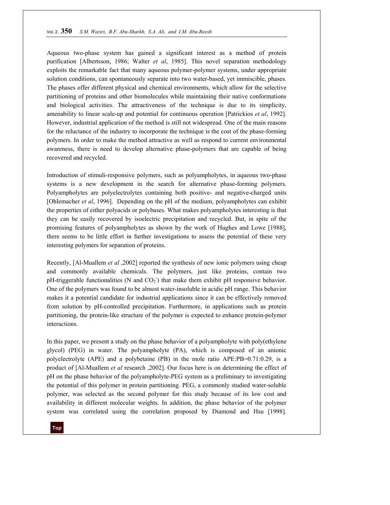Aqueous two-phase system has gained a significant interest as a method of protein purification [Albertsson, 1986; Walter *et al*, 1985]. This novel separation methodology exploits the remarkable fact that many aqueous polymer-polymer systems, under appropriate solution conditions, can spontaneously separate into two water-based, yet immiscible, phases. The phases offer different physical and chemical environments, which allow for the selective partitioning of proteins and other biomolecules while maintaining their native conformations and biological activities. The attractiveness of the technique is due to its simplicity, amenability to linear scale-up and potential for continuous operation [Patrickios *et al*, 1992]. However, industrial application of the method is still not widespread. One of the main reasons for the reluctance of the industry to incorporate the technique is the cost of the phase-forming polymers. In order to make the method attractive as well as respond to current environmental awareness, there is need to develop alternative phase-polymers that are capable of being recovered and recycled.

Introduction of stimuli-responsive polymers, such as polyampholytes, in aqueous two-phase systems is a new development in the search for alternative phase-forming polymers. Polyampholytes are polyelectrolytes containing both positive- and negative-charged units [Ohlemacher *et al*, 1996]. Depending on the pH of the medium, polyampholytes can exhibit the properties of either polyacids or polybases. What makes polyampholytes interesting is that they can be easily recovered by isoelectric precipitation and recycled. But, in spite of the promising features of polyampholytes as shown by the work of Hughes and Lowe [1988], there seems to be little effort in further investigations to assess the potential of these very interesting polymers for separation of proteins.

Recently, [Al-Muallem *et al* ,2002] reported the synthesis of new ionic polymers using cheap and commonly available chemicals. The polymers, just like proteins, contain two pH-triggerable functionalities (N and  $CO<sub>2</sub>$ ) that make them exhibit pH responsive behavior. One of the polymers was found to be almost water-insoluble in acidic pH range. This behavior makes it a potential candidate for industrial applications since it can be effectively removed from solution by pH-controlled precipitation. Furthermore, in applications such as protein partitioning, the protein-like structure of the polymer is expected to enhance protein-polymer interactions.

In this paper, we present a study on the phase behavior of a polyampholyte with poly(ethylene glycol) (PEG) in water. The polyampholyte (PA), which is composed of an anionic polyelectrolyte (APE) and a polybetaine (PB) in the mole ratio APE:PB=0.71:0.29, is a product of [Al-Muallem *et al* research ,2002]. Our focus here is on determining the effect of pH on the phase behavior of the polyampholyte-PEG system as a preliminary to investigating the potential of this polymer in protein partitioning. PEG, a commonly studied water-soluble polymer, was selected as the second polymer for this study because of its low cost and availability in different molecular weights. In addition, the phase behavior of the polymer system was correlated using the correlation proposed by Diamond and Hsu [1998].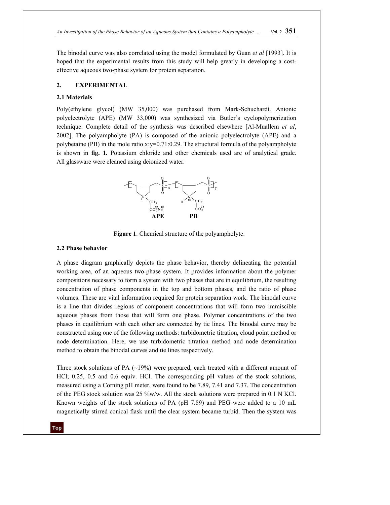The binodal curve was also correlated using the model formulated by Guan *et al* [1993]. It is hoped that the experimental results from this study will help greatly in developing a costeffective aqueous two-phase system for protein separation.

# **2. EXPERIMENTAL**

## **2.1 Materials**

Poly(ethylene glycol) (MW 35,000) was purchased from Mark-Schuchardt. Anionic polyelectrolyte (APE) (MW 33,000) was synthesized via Butler's cyclopolymerization technique. Complete detail of the synthesis was described elsewhere [Al-Muallem *et al*, 2002]. The polyampholyte (PA) is composed of the anionic polyelectrolyte (APE) and a polybetaine (PB) in the mole ratio x:y=0.71:0.29. The structural formula of the polyampholyte is shown in **fig. 1.** Potassium chloride and other chemicals used are of analytical grade. All glassware were cleaned using deionized water.



**Figure 1**. Chemical structure of the polyampholyte.

# **2.2 Phase behavior**

A phase diagram graphically depicts the phase behavior, thereby delineating the potential working area, of an aqueous two-phase system. It provides information about the polymer compositions necessary to form a system with two phases that are in equilibrium, the resulting concentration of phase components in the top and bottom phases, and the ratio of phase volumes. These are vital information required for protein separation work. The binodal curve is a line that divides regions of component concentrations that will form two immiscible aqueous phases from those that will form one phase. Polymer concentrations of the two phases in equilibrium with each other are connected by tie lines. The binodal curve may be constructed using one of the following methods: turbidometric titration, cloud point method or node determination. Here, we use turbidometric titration method and node determination method to obtain the binodal curves and tie lines respectively.

Three stock solutions of PA  $(\sim 19\%)$  were prepared, each treated with a different amount of HCl; 0.25, 0.5 and 0.6 equiv. HCl. The corresponding pH values of the stock solutions, measured using a Corning pH meter, were found to be 7.89, 7.41 and 7.37. The concentration of the PEG stock solution was 25 %w/w. All the stock solutions were prepared in 0.1 N KCl. Known weights of the stock solutions of PA (pH 7.89) and PEG were added to a 10 mL magnetically stirred conical flask until the clear system became turbid. Then the system was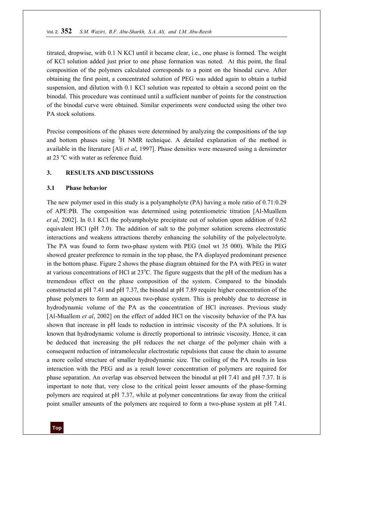titrated, dropwise, with 0.1 N KCl until it became clear, i.e., one phase is formed. The weight of KCl solution added just prior to one phase formation was noted. At this point, the final composition of the polymers calculated corresponds to a point on the binodal curve. After obtaining the first point, a concentrated solution of PEG was added again to obtain a turbid suspension, and dilution with 0.1 KCl solution was repeated to obtain a second point on the binodal. This procedure was continued until a sufficient number of points for the construction of the binodal curve were obtained. Similar experiments were conducted using the other two PA stock solutions.

Precise compositions of the phases were determined by analyzing the compositions of the top and bottom phases using <sup>1</sup>H NMR technique. A detailed explanation of the method is available in the literature [Ali *et al*, 1997]. Phase densities were measured using a densimeter at 23  $^{\circ}$ C with water as reference fluid.

## **3. RESULTS AND DISCUSSIONS**

#### **3.1 Phase behavior**

The new polymer used in this study is a polyampholyte (PA) having a mole ratio of 0.71:0.29 of APE:PB. The composition was determined using potentiometric titration [Al-Muallem *et al*, 2002]. In 0.1 KCl the polyampholyte precipitate out of solution upon addition of 0.62 equivalent HCl (pH 7.0). The addition of salt to the polymer solution screens electrostatic interactions and weakens attractions thereby enhancing the solubility of the polyelectrolyte. The PA was found to form two-phase system with PEG (mol wt 35 000). While the PEG showed greater preference to remain in the top phase, the PA displayed predominant presence in the bottom phase. Figure 2 shows the phase diagram obtained for the PA with PEG in water at various concentrations of HCl at  $23^{\circ}$ C. The figure suggests that the pH of the medium has a tremendous effect on the phase composition of the system. Compared to the binodals constructed at pH 7.41 and pH 7.37, the binodal at pH 7.89 require higher concentration of the phase polymers to form an aqueous two-phase system. This is probably due to decrease in hydrodynamic volume of the PA as the concentration of HCl increases. Previous study [Al-Muallem *et al*, 2002] on the effect of added HCl on the viscosity behavior of the PA has shown that increase in pH leads to reduction in intrinsic viscosity of the PA solutions. It is known that hydrodynamic volume is directly proportional to intrinsic viscosity. Hence, it can be deduced that increasing the pH reduces the net charge of the polymer chain with a consequent reduction of intramolecular electrostatic repulsions that cause the chain to assume a more coiled structure of smaller hydrodynamic size. The coiling of the PA results in less interaction with the PEG and as a result lower concentration of polymers are required for phase separation. An overlap was observed between the binodal at pH 7.41 and pH 7.37. It is important to note that, very close to the critical point lesser amounts of the phase-forming polymers are required at pH 7.37, while at polymer concentrations far away from the critical point smaller amounts of the polymers are required to form a two-phase system at pH 7.41.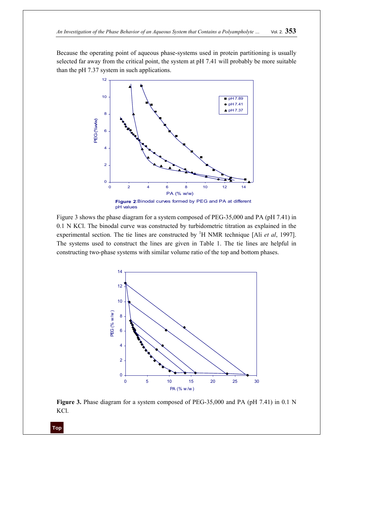Because the operating point of aqueous phase-systems used in protein partitioning is usually selected far away from the critical point, the system at pH 7.41 will probably be more suitable than the pH 7.37 system in such applications.



Figure 3 shows the phase diagram for a system composed of PEG-35,000 and PA (pH 7.41) in 0.1 N KCl. The binodal curve was constructed by turbidometric titration as explained in the experimental section. The tie lines are constructed by <sup>1</sup>H NMR technique [Ali *et al*, 1997]. The systems used to construct the lines are given in Table 1. The tie lines are helpful in constructing two-phase systems with similar volume ratio of the top and bottom phases.



**Figure 3.** Phase diagram for a system composed of PEG-35,000 and PA (pH 7.41) in 0.1 N KCl.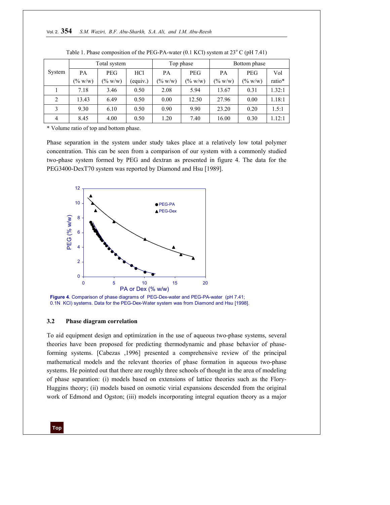|        | Total system |            |                 | Top phase  |                   | Bottom phase |            |        |
|--------|--------------|------------|-----------------|------------|-------------------|--------------|------------|--------|
| System | PA           | <b>PEG</b> | HC <sub>1</sub> | PA         | <b>PEG</b>        | PA           | <b>PEG</b> | Vol    |
|        | $(\% w/w)$   | $(\% w/w)$ | (equiv.)        | $(\% w/w)$ | $(^{0}/_{0} W/w)$ | $(\% w/w)$   | $(\% w/w)$ | ratio* |
|        | 7.18         | 3.46       | 0.50            | 2.08       | 5.94              | 13.67        | 0.31       | 1.32:1 |
| 2      | 13.43        | 6.49       | 0.50            | 0.00       | 12.50             | 27.96        | 0.00       | 1.18:1 |
| 3      | 9.30         | 6.10       | 0.50            | 0.90       | 9.90              | 23.20        | 0.20       | 1.5:1  |
| 4      | 8.45         | 4.00       | 0.50            | 1.20       | 7.40              | 16.00        | 0.30       | 1.12:1 |

\* Volume ratio of top and bottom phase.

Phase separation in the system under study takes place at a relatively low total polymer concentration. This can be seen from a comparison of our system with a commonly studied two-phase system formed by PEG and dextran as presented in figure 4. The data for the PEG3400-DexT70 system was reported by Diamond and Hsu [1989].



**Figure 4**. Comparison of phase diagrams of PEG-Dex-water and PEG-PA-water (pH 7.41; 0.1N KCl) systems. Data for the PEG-Dex-Water system was from Diamond and Hsu [1998].

#### **3.2 Phase diagram correlation**

To aid equipment design and optimization in the use of aqueous two-phase systems, several theories have been proposed for predicting thermodynamic and phase behavior of phaseforming systems. [Cabezas ,1996] presented a comprehensive review of the principal mathematical models and the relevant theories of phase formation in aqueous two-phase systems. He pointed out that there are roughly three schools of thought in the area of modeling of phase separation: (i) models based on extensions of lattice theories such as the Flory-Huggins theory; (ii) models based on osmotic virial expansions descended from the original work of Edmond and Ogston; (iii) models incorporating integral equation theory as a major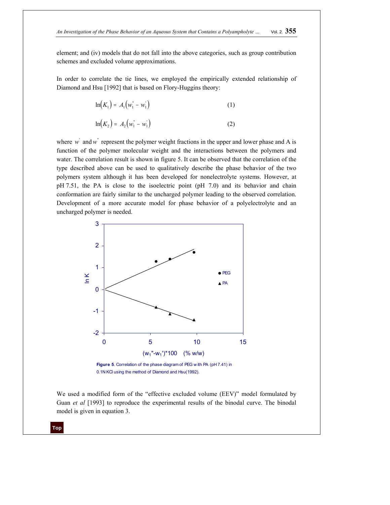element; and (iv) models that do not fall into the above categories, such as group contribution schemes and excluded volume approximations.

In order to correlate the tie lines, we employed the empirically extended relationship of Diamond and Hsu [1992] that is based on Flory-Huggins theory:

$$
\ln(K_1) = A_1 \big( w_1^* - w_1^* \big) \tag{1}
$$

$$
\ln(K_2) = A_2 \big( w_1^* - w_1^* \big) \tag{2}
$$

where  $w'$  and  $w''$  represent the polymer weight fractions in the upper and lower phase and A is function of the polymer molecular weight and the interactions between the polymers and water. The correlation result is shown in figure 5. It can be observed that the correlation of the type described above can be used to qualitatively describe the phase behavior of the two polymers system although it has been developed for nonelectrolyte systems. However, at pH 7.51, the PA is close to the isoelectric point (pH 7.0) and its behavior and chain conformation are fairly similar to the uncharged polymer leading to the observed correlation. Development of a more accurate model for phase behavior of a polyelectrolyte and an uncharged polymer is needed.



0.1N KCl using the method of Diamond and Hsu(1992).

We used a modified form of the "effective excluded volume (EEV)" model formulated by Guan *et al* [1993] to reproduce the experimental results of the binodal curve. The binodal model is given in equation 3.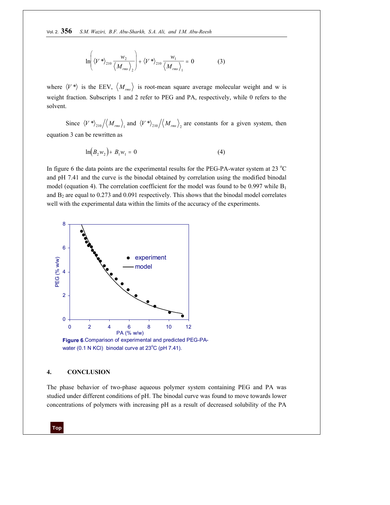$$
\ln\left(\left\langle V^*\right\rangle_{210}\frac{w_2}{\left\langle M_{rms}\right\rangle_2}\right)+\left\langle V^*\right\rangle_{210}\frac{w_1}{\left\langle M_{rms}\right\rangle_1}=0\tag{3}
$$

where  $\langle V^* \rangle$  is the EEV,  $\langle M_{\text{rms}} \rangle$  is root-mean square average molecular weight and w is weight fraction. Subscripts 1 and 2 refer to PEG and PA, respectively, while 0 refers to the solvent.

Since  $\langle V^* \rangle_{210} / \langle M_{rms} \rangle_{1}$  and  $\langle V^* \rangle_{210} / \langle M_{rms} \rangle_{2}$  are constants for a given system, then equation 3 can be rewritten as

$$
\ln(B_2 w_2) + B_1 w_1 = 0 \tag{4}
$$

In figure 6 the data points are the experimental results for the PEG-PA-water system at 23  $^{\circ}$ C and pH 7.41 and the curve is the binodal obtained by correlation using the modified binodal model (equation 4). The correlation coefficient for the model was found to be 0.997 while  $B_1$ and  $B_2$  are equal to 0.273 and 0.091 respectively. This shows that the binodal model correlates well with the experimental data within the limits of the accuracy of the experiments.



#### **4. CONCLUSION**

The phase behavior of two-phase aqueous polymer system containing PEG and PA was studied under different conditions of pH. The binodal curve was found to move towards lower concentrations of polymers with increasing pH as a result of decreased solubility of the PA